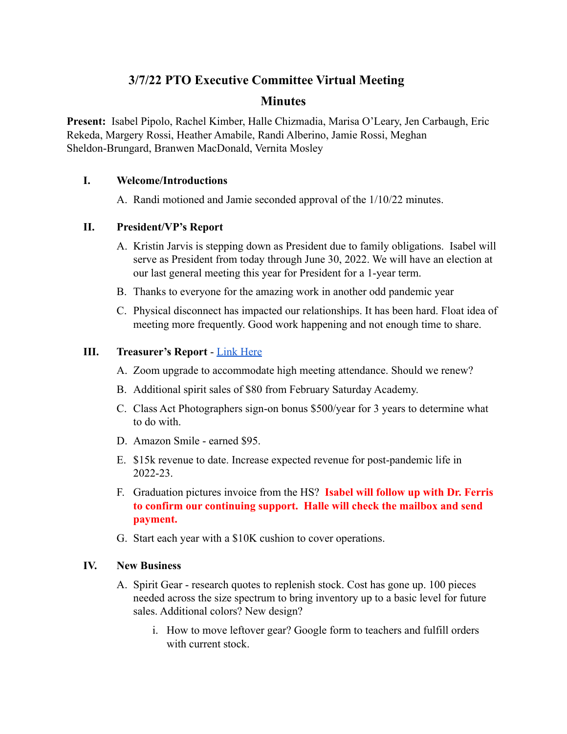# **3/7/22 PTO Executive Committee Virtual Meeting**

# **Minutes**

**Present:** Isabel Pipolo, Rachel Kimber, Halle Chizmadia, Marisa O'Leary, Jen Carbaugh, Eric Rekeda, Margery Rossi, Heather Amabile, Randi Alberino, Jamie Rossi, Meghan Sheldon-Brungard, Branwen MacDonald, Vernita Mosley

## **I. Welcome/Introductions**

A. Randi motioned and Jamie seconded approval of the 1/10/22 minutes.

# **II. President/VP's Report**

- A. Kristin Jarvis is stepping down as President due to family obligations. Isabel will serve as President from today through June 30, 2022. We will have an election at our last general meeting this year for President for a 1-year term.
- B. Thanks to everyone for the amazing work in another odd pandemic year
- C. Physical disconnect has impacted our relationships. It has been hard. Float idea of meeting more frequently. Good work happening and not enough time to share.

# **III. Treasurer's Report** - [Link Here](https://peekskillpto.org/wp-content/uploads/2022/03/March-Budget-Report-2022-1.pdf)

- A. Zoom upgrade to accommodate high meeting attendance. Should we renew?
- B. Additional spirit sales of \$80 from February Saturday Academy.
- C. Class Act Photographers sign-on bonus \$500/year for 3 years to determine what to do with.
- D. Amazon Smile earned \$95.
- E. \$15k revenue to date. Increase expected revenue for post-pandemic life in 2022-23.
- F. Graduation pictures invoice from the HS? **Isabel will follow up with Dr. Ferris to confirm our continuing support. Halle will check the mailbox and send payment.**
- G. Start each year with a \$10K cushion to cover operations.

# **IV. New Business**

- A. Spirit Gear research quotes to replenish stock. Cost has gone up. 100 pieces needed across the size spectrum to bring inventory up to a basic level for future sales. Additional colors? New design?
	- i. How to move leftover gear? Google form to teachers and fulfill orders with current stock.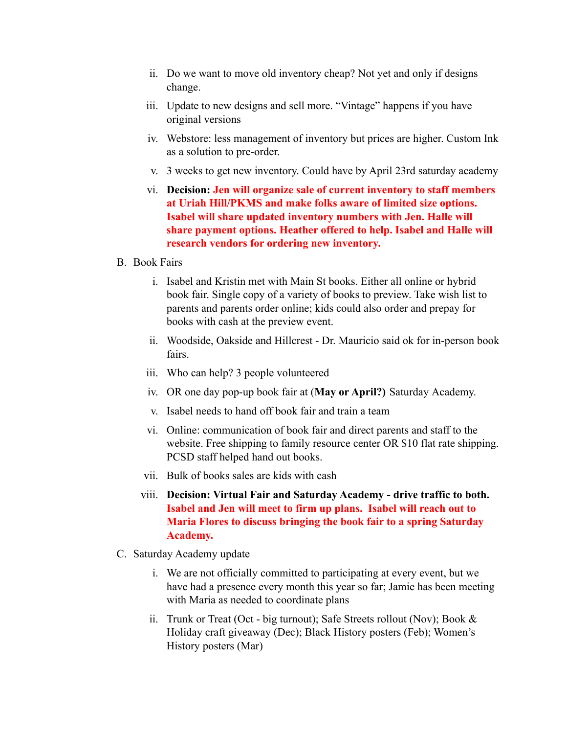- ii. Do we want to move old inventory cheap? Not yet and only if designs change.
- iii. Update to new designs and sell more. "Vintage" happens if you have original versions
- iv. Webstore: less management of inventory but prices are higher. Custom Ink as a solution to pre-order.
- v. 3 weeks to get new inventory. Could have by April 23rd saturday academy
- vi. **Decision: Jen will organize sale of current inventory to staff members at Uriah Hill/PKMS and make folks aware of limited size options. Isabel will share updated inventory numbers with Jen. Halle will share payment options. Heather offered to help. Isabel and Halle will research vendors for ordering new inventory.**

#### B. Book Fairs

- i. Isabel and Kristin met with Main St books. Either all online or hybrid book fair. Single copy of a variety of books to preview. Take wish list to parents and parents order online; kids could also order and prepay for books with cash at the preview event.
- ii. Woodside, Oakside and Hillcrest Dr. Mauricio said ok for in-person book fairs.
- iii. Who can help? 3 people volunteered
- iv. OR one day pop-up book fair at (**May or April?)** Saturday Academy.
- v. Isabel needs to hand off book fair and train a team
- vi. Online: communication of book fair and direct parents and staff to the website. Free shipping to family resource center OR \$10 flat rate shipping. PCSD staff helped hand out books.
- vii. Bulk of books sales are kids with cash
- viii. **Decision: Virtual Fair and Saturday Academy drive traffic to both. Isabel and Jen will meet to firm up plans. Isabel will reach out to Maria Flores to discuss bringing the book fair to a spring Saturday Academy.**
- C. Saturday Academy update
	- i. We are not officially committed to participating at every event, but we have had a presence every month this year so far; Jamie has been meeting with Maria as needed to coordinate plans
	- ii. Trunk or Treat (Oct big turnout); Safe Streets rollout (Nov); Book & Holiday craft giveaway (Dec); Black History posters (Feb); Women's History posters (Mar)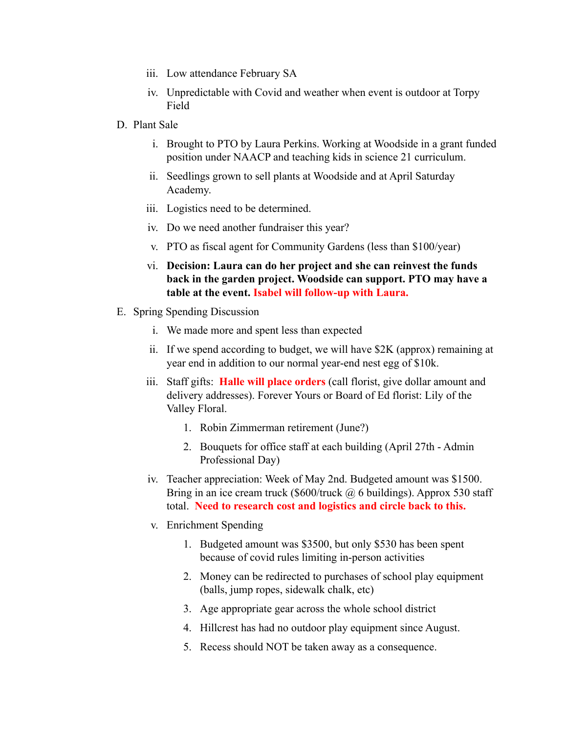- iii. Low attendance February SA
- iv. Unpredictable with Covid and weather when event is outdoor at Torpy Field
- D. Plant Sale
	- i. Brought to PTO by Laura Perkins. Working at Woodside in a grant funded position under NAACP and teaching kids in science 21 curriculum.
	- ii. Seedlings grown to sell plants at Woodside and at April Saturday Academy.
	- iii. Logistics need to be determined.
	- iv. Do we need another fundraiser this year?
	- v. PTO as fiscal agent for Community Gardens (less than \$100/year)
	- vi. **Decision: Laura can do her project and she can reinvest the funds back in the garden project. Woodside can support. PTO may have a table at the event. Isabel will follow-up with Laura.**
- E. Spring Spending Discussion
	- i. We made more and spent less than expected
	- ii. If we spend according to budget, we will have \$2K (approx) remaining at year end in addition to our normal year-end nest egg of \$10k.
	- iii. Staff gifts: **Halle will place orders** (call florist, give dollar amount and delivery addresses). Forever Yours or Board of Ed florist: Lily of the Valley Floral.
		- 1. Robin Zimmerman retirement (June?)
		- 2. Bouquets for office staff at each building (April 27th Admin Professional Day)
	- iv. Teacher appreciation: Week of May 2nd. Budgeted amount was \$1500. Bring in an ice cream truck (\$600/truck  $\omega$  6 buildings). Approx 530 staff total. **Need to research cost and logistics and circle back to this.**
	- v. Enrichment Spending
		- 1. Budgeted amount was \$3500, but only \$530 has been spent because of covid rules limiting in-person activities
		- 2. Money can be redirected to purchases of school play equipment (balls, jump ropes, sidewalk chalk, etc)
		- 3. Age appropriate gear across the whole school district
		- 4. Hillcrest has had no outdoor play equipment since August.
		- 5. Recess should NOT be taken away as a consequence.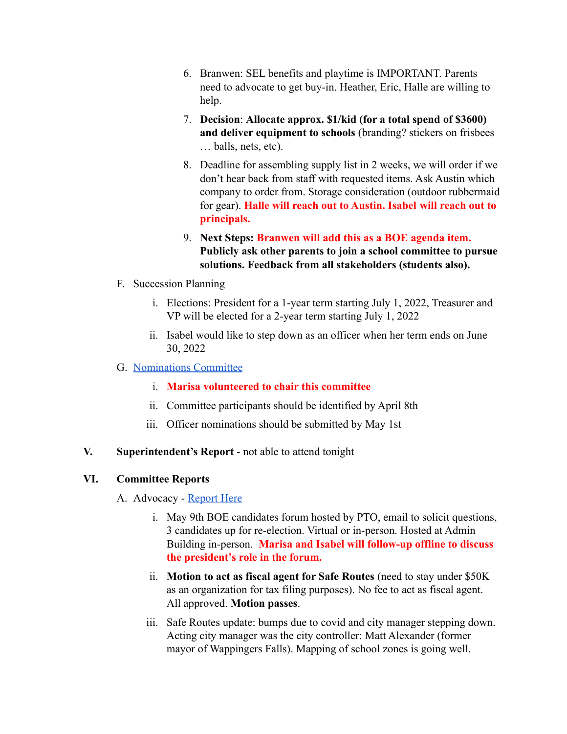- 6. Branwen: SEL benefits and playtime is IMPORTANT. Parents need to advocate to get buy-in. Heather, Eric, Halle are willing to help.
- 7. **Decision**: **Allocate approx. \$1/kid (for a total spend of \$3600) and deliver equipment to schools** (branding? stickers on frisbees … balls, nets, etc).
- 8. Deadline for assembling supply list in 2 weeks, we will order if we don't hear back from staff with requested items. Ask Austin which company to order from. Storage consideration (outdoor rubbermaid for gear). **Halle will reach out to Austin. Isabel will reach out to principals.**
- 9. **Next Steps: Branwen will add this as a BOE agenda item. Publicly ask other parents to join a school committee to pursue solutions. Feedback from all stakeholders (students also).**
- F. Succession Planning
	- i. Elections: President for a 1-year term starting July 1, 2022, Treasurer and VP will be elected for a 2-year term starting July 1, 2022
	- ii. Isabel would like to step down as an officer when her term ends on June 30, 2022

## G. [Nominations Committee](http://peekskillpto.org/index.php/pto-officer-elections/)

- i. **Marisa volunteered to chair this committee**
- ii. Committee participants should be identified by April 8th
- iii. Officer nominations should be submitted by May 1st

## **V. Superintendent's Report** - not able to attend tonight

## **VI. Committee Reports**

- A. Advocacy [Report Here](https://peekskillpto.org/wp-content/uploads/2022/03/Advocacy-Committee-Report-3-7-22.pdf)
	- i. May 9th BOE candidates forum hosted by PTO, email to solicit questions, 3 candidates up for re-election. Virtual or in-person. Hosted at Admin Building in-person. **Marisa and Isabel will follow-up offline to discuss the president's role in the forum.**
	- ii. **Motion to act as fiscal agent for Safe Routes** (need to stay under \$50K as an organization for tax filing purposes). No fee to act as fiscal agent. All approved. **Motion passes**.
	- iii. Safe Routes update: bumps due to covid and city manager stepping down. Acting city manager was the city controller: Matt Alexander (former mayor of Wappingers Falls). Mapping of school zones is going well.